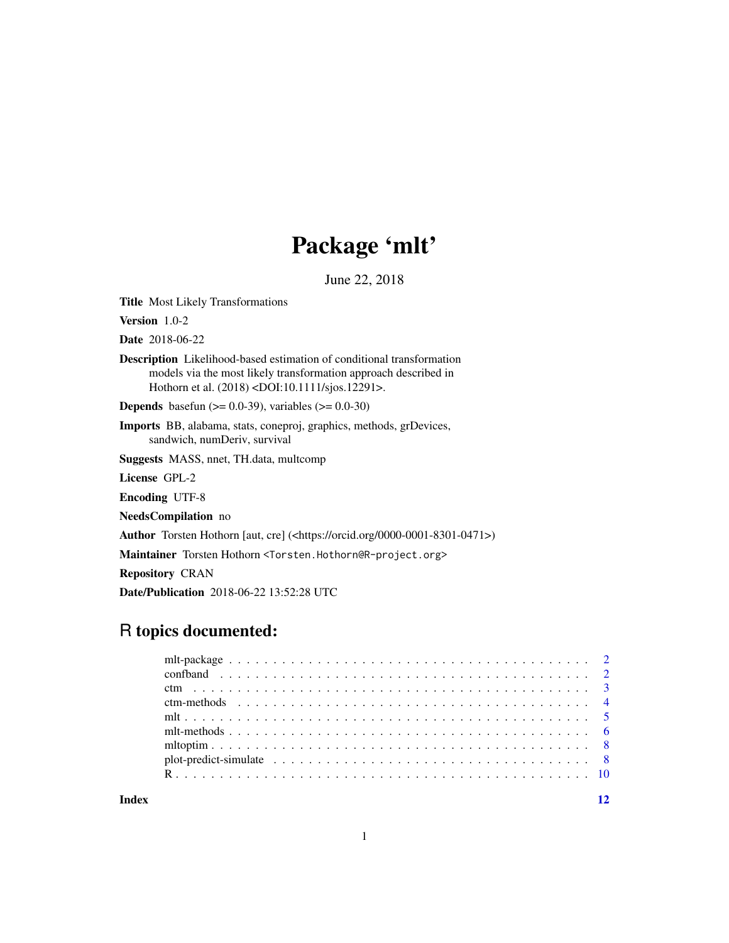## Package 'mlt'

June 22, 2018

<span id="page-0-0"></span>Title Most Likely Transformations

Version 1.0-2

Date 2018-06-22

Description Likelihood-based estimation of conditional transformation models via the most likely transformation approach described in Hothorn et al. (2018) <DOI:10.1111/sjos.12291>.

**Depends** basefun ( $> = 0.0-39$ ), variables ( $> = 0.0-30$ )

Imports BB, alabama, stats, coneproj, graphics, methods, grDevices, sandwich, numDeriv, survival

Suggests MASS, nnet, TH.data, multcomp

License GPL-2

Encoding UTF-8

NeedsCompilation no

Author Torsten Hothorn [aut, cre] (<https://orcid.org/0000-0001-8301-0471>)

Maintainer Torsten Hothorn <Torsten.Hothorn@R-project.org>

Repository CRAN

Date/Publication 2018-06-22 13:52:28 UTC

## R topics documented:

**Index** [12](#page-11-0)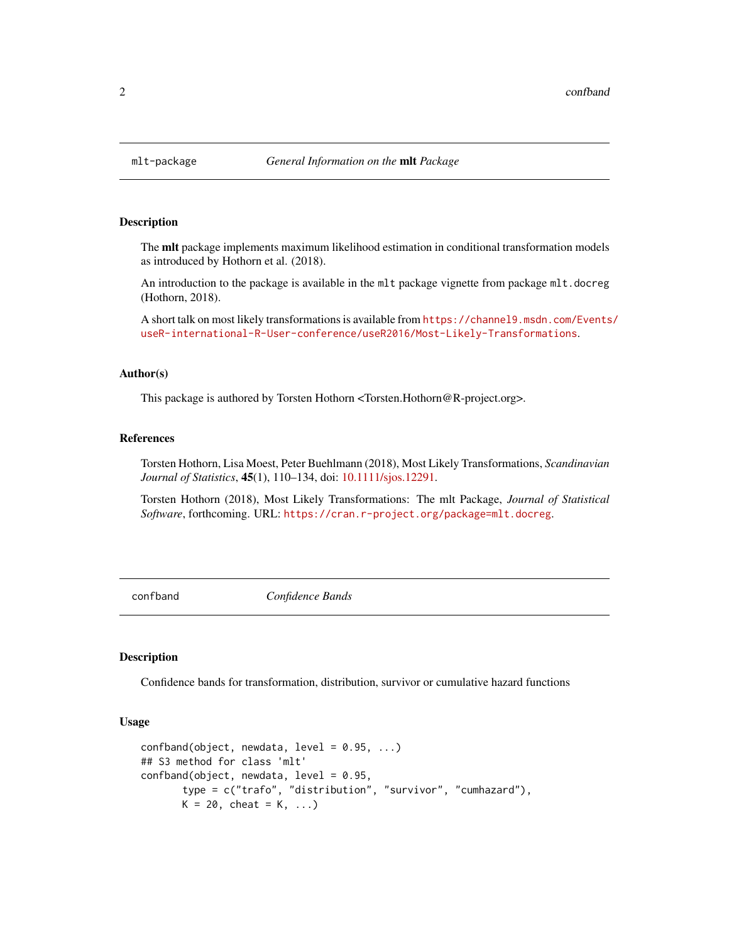<span id="page-1-0"></span>

#### **Description**

The mlt package implements maximum likelihood estimation in conditional transformation models as introduced by Hothorn et al. (2018).

An introduction to the package is available in the mlt package vignette from package mlt.docreg (Hothorn, 2018).

A short talk on most likely transformations is available from [https://channel9.msdn.com/Events](https://channel9.msdn.com/Events/useR-international-R-User-conference/useR2016/Most-Likely-Transformations)/ [useR-international-R-User-conference/useR2016/Most-Likely-Transformations](https://channel9.msdn.com/Events/useR-international-R-User-conference/useR2016/Most-Likely-Transformations).

#### Author(s)

This package is authored by Torsten Hothorn <Torsten.Hothorn@R-project.org>.

#### References

Torsten Hothorn, Lisa Moest, Peter Buehlmann (2018), Most Likely Transformations, *Scandinavian Journal of Statistics*, 45(1), 110–134, doi: [10.1111/sjos.12291.](http://doi.org/10.1111/sjos.12291)

Torsten Hothorn (2018), Most Likely Transformations: The mlt Package, *Journal of Statistical Software*, forthcoming. URL: <https://cran.r-project.org/package=mlt.docreg>.

confband *Confidence Bands*

#### **Description**

Confidence bands for transformation, distribution, survivor or cumulative hazard functions

#### Usage

```
confband(object, new data, level = 0.95, ...)## S3 method for class 'mlt'
confband(object, newdata, level = 0.95,
      type = c("trafo", "distribution", "survivor", "cumhazard"),
      K = 20, cheat = K, ...
```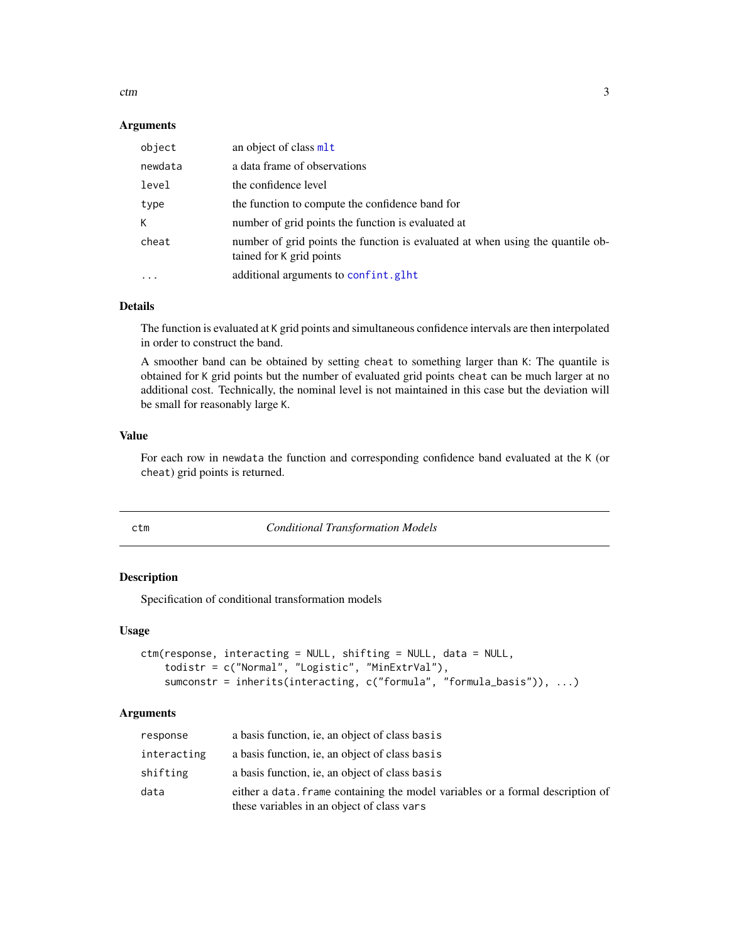<span id="page-2-0"></span>ctm 3

#### **Arguments**

| object    | an object of class mlt                                                                                     |
|-----------|------------------------------------------------------------------------------------------------------------|
| newdata   | a data frame of observations                                                                               |
| level     | the confidence level                                                                                       |
| type      | the function to compute the confidence band for                                                            |
| К         | number of grid points the function is evaluated at                                                         |
| cheat     | number of grid points the function is evaluated at when using the quantile ob-<br>tained for K grid points |
| $\ddotsc$ | additional arguments to confint.glht                                                                       |

## Details

The function is evaluated at K grid points and simultaneous confidence intervals are then interpolated in order to construct the band.

A smoother band can be obtained by setting cheat to something larger than K: The quantile is obtained for K grid points but the number of evaluated grid points cheat can be much larger at no additional cost. Technically, the nominal level is not maintained in this case but the deviation will be small for reasonably large K.

## Value

For each row in newdata the function and corresponding confidence band evaluated at the K (or cheat) grid points is returned.

<span id="page-2-1"></span>

ctm *Conditional Transformation Models*

#### Description

Specification of conditional transformation models

#### Usage

```
ctm(response, interacting = NULL, shifting = NULL, data = NULL,
   todistr = c("Normal", "Logistic", "MinExtrVal"),
   sumconstr = inherits(interacting, c("formula", "formula_basis")), ...)
```
## Arguments

| response    | a basis function, ie, an object of class basis                                                                               |
|-------------|------------------------------------------------------------------------------------------------------------------------------|
| interacting | a basis function, ie, an object of class basis                                                                               |
| shifting    | a basis function, ie, an object of class basis                                                                               |
| data        | either a data, frame containing the model variables or a formal description of<br>these variables in an object of class vars |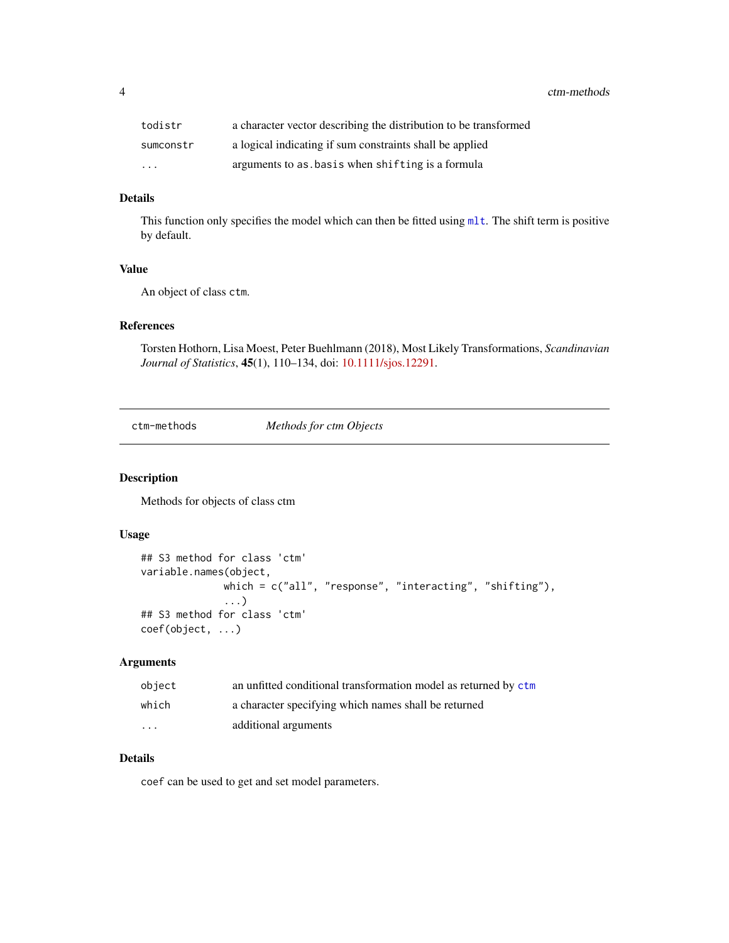<span id="page-3-0"></span>4 ctm-methods

| todistr   | a character vector describing the distribution to be transformed |
|-----------|------------------------------------------------------------------|
| sumconstr | a logical indicating if sum constraints shall be applied         |
| $\cdots$  | arguments to as basis when shifting is a formula                 |

## Details

This function only specifies the model which can then be fitted using [mlt](#page-4-1). The shift term is positive by default.

#### Value

An object of class ctm.

## References

Torsten Hothorn, Lisa Moest, Peter Buehlmann (2018), Most Likely Transformations, *Scandinavian Journal of Statistics*, 45(1), 110–134, doi: [10.1111/sjos.12291.](http://doi.org/10.1111/sjos.12291)

ctm-methods *Methods for ctm Objects*

#### Description

Methods for objects of class ctm

#### Usage

```
## S3 method for class 'ctm'
variable.names(object,
              which = c("all", "response", "interacting", "shifting"),
              ...)
## S3 method for class 'ctm'
coef(object, ...)
```
## Arguments

| object   | an unfitted conditional transformation model as returned by ctm |
|----------|-----------------------------------------------------------------|
| which    | a character specifying which names shall be returned            |
| $\cdots$ | additional arguments                                            |

### Details

coef can be used to get and set model parameters.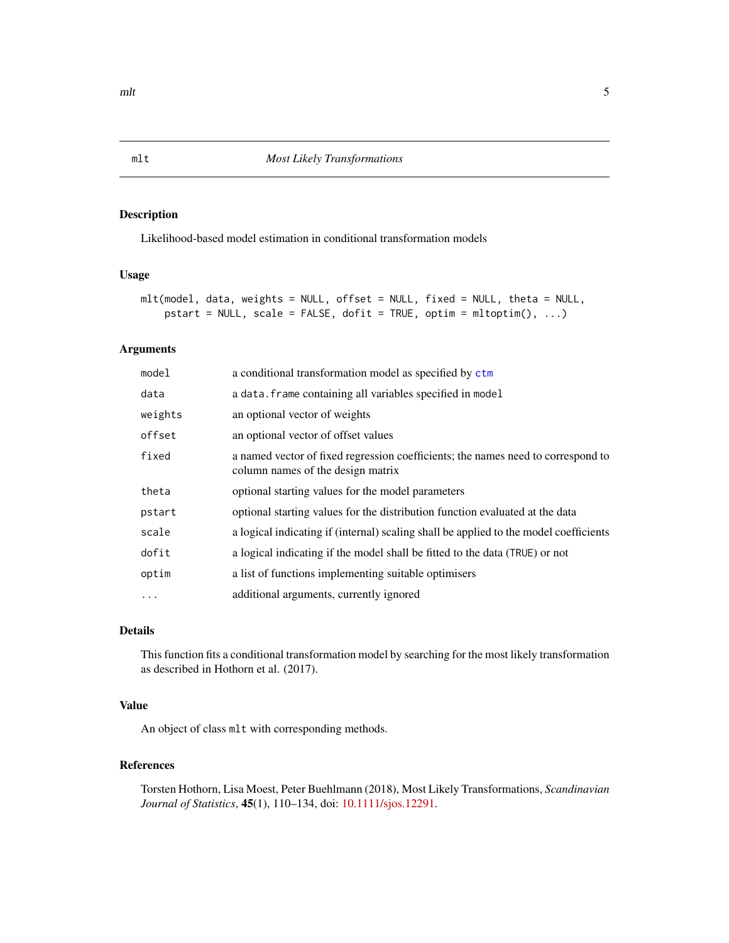## Description

Likelihood-based model estimation in conditional transformation models

## Usage

```
mlt(model, data, weights = NULL, offset = NULL, fixed = NULL, theta = NULL,
    pstart = NULL, scale = FALSE, dofit = TRUE, optim = mltoptim(), \dots)
```
#### Arguments

| model    | a conditional transformation model as specified by ctm                                                                |
|----------|-----------------------------------------------------------------------------------------------------------------------|
| data     | a data. frame containing all variables specified in model                                                             |
| weights  | an optional vector of weights                                                                                         |
| offset   | an optional vector of offset values                                                                                   |
| fixed    | a named vector of fixed regression coefficients; the names need to correspond to<br>column names of the design matrix |
| theta    | optional starting values for the model parameters                                                                     |
| pstart   | optional starting values for the distribution function evaluated at the data                                          |
| scale    | a logical indicating if (internal) scaling shall be applied to the model coefficients                                 |
| dofit    | a logical indicating if the model shall be fitted to the data (TRUE) or not                                           |
| optim    | a list of functions implementing suitable optimisers                                                                  |
| $\cdots$ | additional arguments, currently ignored                                                                               |

## Details

This function fits a conditional transformation model by searching for the most likely transformation as described in Hothorn et al. (2017).

## Value

An object of class mlt with corresponding methods.

## References

Torsten Hothorn, Lisa Moest, Peter Buehlmann (2018), Most Likely Transformations, *Scandinavian Journal of Statistics*, 45(1), 110–134, doi: [10.1111/sjos.12291.](http://doi.org/10.1111/sjos.12291)

<span id="page-4-1"></span><span id="page-4-0"></span>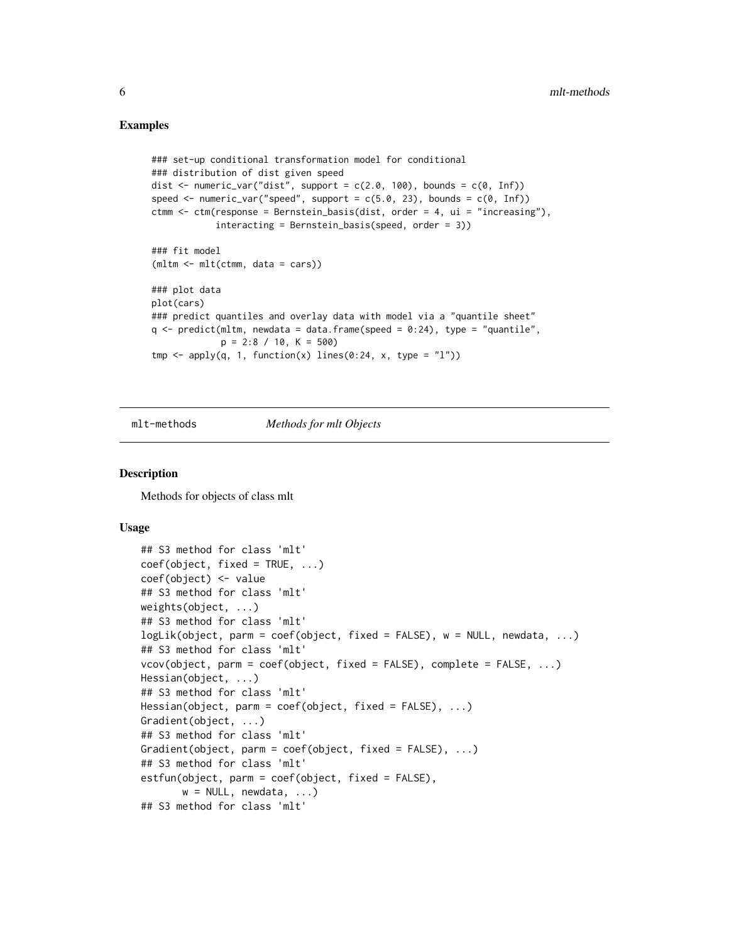#### Examples

```
### set-up conditional transformation model for conditional
### distribution of dist given speed
dist \leq numeric_var("dist", support = c(2.0, 100), bounds = c(0, \text{Inf}))
speed \leq numeric_var("speed", support = c(5.0, 23), bounds = c(0, \text{Inf}))
ctmm <- ctm(response = Bernstein_basis(dist, order = 4, ui = "increasing"),
            interacting = Bernstein_basis(speed, order = 3))
### fit model
(mltm <- mlt(ctmm, data = cars))
### plot data
plot(cars)
### predict quantiles and overlay data with model via a "quantile sheet"
q \le - predict(mltm, newdata = data.frame(speed = 0:24), type = "quantile",
             p = 2:8 / 10, K = 500tmp \leftarrow apply(q, 1, function(x) lines(0:24, x, type = "l"))
```
mlt-methods *Methods for mlt Objects*

#### **Description**

Methods for objects of class mlt

#### Usage

```
## S3 method for class 'mlt'
coef(object, fixed = TRUE, ...)
coef(object) <- value
## S3 method for class 'mlt'
weights(object, ...)
## S3 method for class 'mlt'
logLik(object, parm = coef(object, fixed = FALSE), w = NULL, newdata, ...)
## S3 method for class 'mlt'
vcov(object, parm = coef(object, fixed = FALSE), complete = FALSE, ...)
Hessian(object, ...)
## S3 method for class 'mlt'
Hessian(object, parm = coef(object, fixed = FALSE), ...)
Gradient(object, ...)
## S3 method for class 'mlt'
Gradient(object, parm = coef(object, fixed = FALSE), ...)
## S3 method for class 'mlt'
estfun(object, parm = coef(object, fixed = FALSE),
       w = NULL, newdata, ...)
## S3 method for class 'mlt'
```
<span id="page-5-0"></span>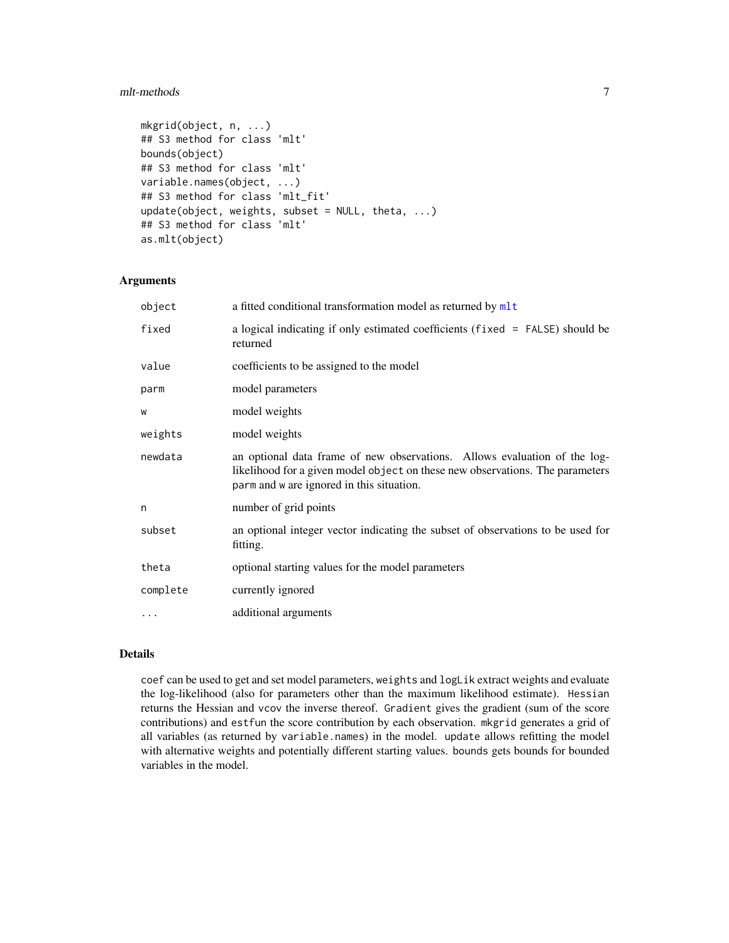#### <span id="page-6-0"></span>mlt-methods 7

```
mkgrid(object, n, ...)
## S3 method for class 'mlt'
bounds(object)
## S3 method for class 'mlt'
variable.names(object, ...)
## S3 method for class 'mlt_fit'
update(object, weights, subset = NULL, theta, ...)## S3 method for class 'mlt'
as.mlt(object)
```
## Arguments

| object   | a fitted conditional transformation model as returned by mlt                                                                                                                                            |
|----------|---------------------------------------------------------------------------------------------------------------------------------------------------------------------------------------------------------|
| fixed    | a logical indicating if only estimated coefficients (fixed = FALSE) should be<br>returned                                                                                                               |
| value    | coefficients to be assigned to the model                                                                                                                                                                |
| parm     | model parameters                                                                                                                                                                                        |
| W        | model weights                                                                                                                                                                                           |
| weights  | model weights                                                                                                                                                                                           |
| newdata  | an optional data frame of new observations. Allows evaluation of the log-<br>likelihood for a given model object on these new observations. The parameters<br>parm and w are ignored in this situation. |
| n        | number of grid points                                                                                                                                                                                   |
| subset   | an optional integer vector indicating the subset of observations to be used for<br>fitting.                                                                                                             |
| theta    | optional starting values for the model parameters                                                                                                                                                       |
| complete | currently ignored                                                                                                                                                                                       |
| $\cdots$ | additional arguments                                                                                                                                                                                    |

## Details

coef can be used to get and set model parameters, weights and logLik extract weights and evaluate the log-likelihood (also for parameters other than the maximum likelihood estimate). Hessian returns the Hessian and vcov the inverse thereof. Gradient gives the gradient (sum of the score contributions) and estfun the score contribution by each observation. mkgrid generates a grid of all variables (as returned by variable.names) in the model. update allows refitting the model with alternative weights and potentially different starting values. bounds gets bounds for bounded variables in the model.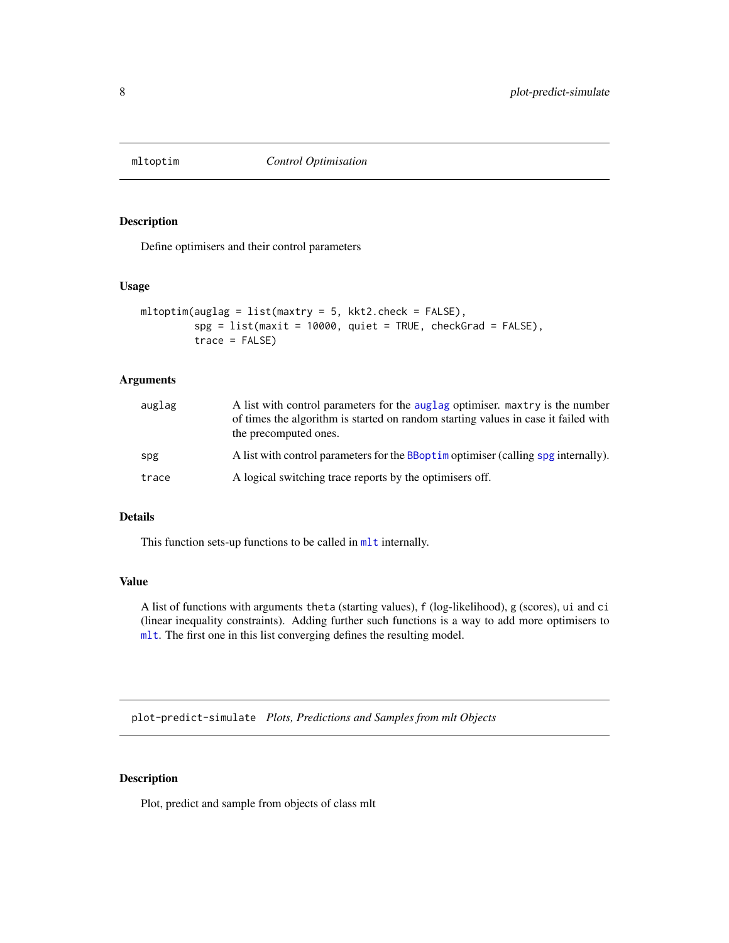<span id="page-7-0"></span>

## Description

Define optimisers and their control parameters

#### Usage

```
mltoptim(auglag = list(maxtry = 5, kkt2.check = FALSE),
         spg = list(maxit = 10000, quiet = TRUE, checkGrad = FALSE),
         trace = FALSE)
```
## Arguments

| auglag | A list with control parameters for the auglag optimiser. maxtry is the number<br>of times the algorithm is started on random starting values in case it failed with<br>the precomputed ones. |
|--------|----------------------------------------------------------------------------------------------------------------------------------------------------------------------------------------------|
| spg    | A list with control parameters for the BBopt im optimiser (calling spg internally).                                                                                                          |
| trace  | A logical switching trace reports by the optimisers off.                                                                                                                                     |

## Details

This function sets-up functions to be called in m1t internally.

## Value

A list of functions with arguments theta (starting values), f (log-likelihood), g (scores), ui and ci (linear inequality constraints). Adding further such functions is a way to add more optimisers to [mlt](#page-4-1). The first one in this list converging defines the resulting model.

plot-predict-simulate *Plots, Predictions and Samples from mlt Objects*

## Description

Plot, predict and sample from objects of class mlt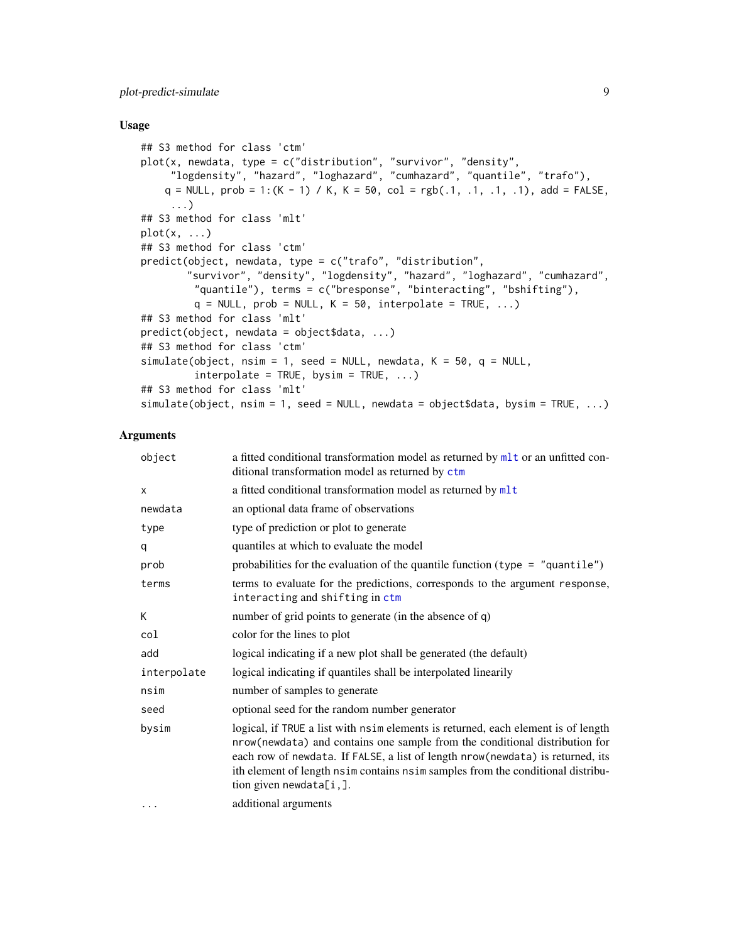## <span id="page-8-0"></span>plot-predict-simulate 9

#### Usage

```
## S3 method for class 'ctm'
plot(x, newdata, type = c("distribution", "survivor", "density",
     "logdensity", "hazard", "loghazard", "cumhazard", "quantile", "trafo"),
    q = NULL, prob = 1:(K - 1) / K, K = 50, col = rgb(.1, .1, .1, .1), add = FALSE,
     ...)
## S3 method for class 'mlt'
plot(x, ...)
## S3 method for class 'ctm'
predict(object, newdata, type = c("trafo", "distribution",
        "survivor", "density", "logdensity", "hazard", "loghazard", "cumhazard",
         "quantile"), terms = c("bresponse", "binteracting", "bshifting"),
         q = NULL, prob = NULL, K = 50, interpolate = TRUE, ...)
## S3 method for class 'mlt'
predict(object, newdata = object$data, ...)
## S3 method for class 'ctm'
simulate(object, nsim = 1, seed = NULL, newdata, K = 50, q = NULL,
         interpolate = TRUE, bysim = TRUE, ...## S3 method for class 'mlt'
simulate(object, nsim = 1, seed = NULL, newdata = object$data, bysim = TRUE, ...)
```
## Arguments

| object      | a fitted conditional transformation model as returned by mlt or an unfitted con-<br>ditional transformation model as returned by ctm                                                                                                                                                                                                                                |
|-------------|---------------------------------------------------------------------------------------------------------------------------------------------------------------------------------------------------------------------------------------------------------------------------------------------------------------------------------------------------------------------|
| X           | a fitted conditional transformation model as returned by mlt                                                                                                                                                                                                                                                                                                        |
| newdata     | an optional data frame of observations                                                                                                                                                                                                                                                                                                                              |
| type        | type of prediction or plot to generate                                                                                                                                                                                                                                                                                                                              |
| q           | quantiles at which to evaluate the model                                                                                                                                                                                                                                                                                                                            |
| prob        | probabilities for the evaluation of the quantile function (type = $"quantile"$ )                                                                                                                                                                                                                                                                                    |
| terms       | terms to evaluate for the predictions, corresponds to the argument response,<br>interacting and shifting in ctm                                                                                                                                                                                                                                                     |
| K           | number of grid points to generate (in the absence of q)                                                                                                                                                                                                                                                                                                             |
| col         | color for the lines to plot                                                                                                                                                                                                                                                                                                                                         |
| add         | logical indicating if a new plot shall be generated (the default)                                                                                                                                                                                                                                                                                                   |
| interpolate | logical indicating if quantiles shall be interpolated linearily                                                                                                                                                                                                                                                                                                     |
| nsim        | number of samples to generate                                                                                                                                                                                                                                                                                                                                       |
| seed        | optional seed for the random number generator                                                                                                                                                                                                                                                                                                                       |
| bysim       | logical, if TRUE a list with nsim elements is returned, each element is of length<br>nrow(newdata) and contains one sample from the conditional distribution for<br>each row of newdata. If FALSE, a list of length nrow(newdata) is returned, its<br>ith element of length nsim contains nsim samples from the conditional distribu-<br>tion given newdata $[i,].$ |
| $\cdots$    | additional arguments                                                                                                                                                                                                                                                                                                                                                |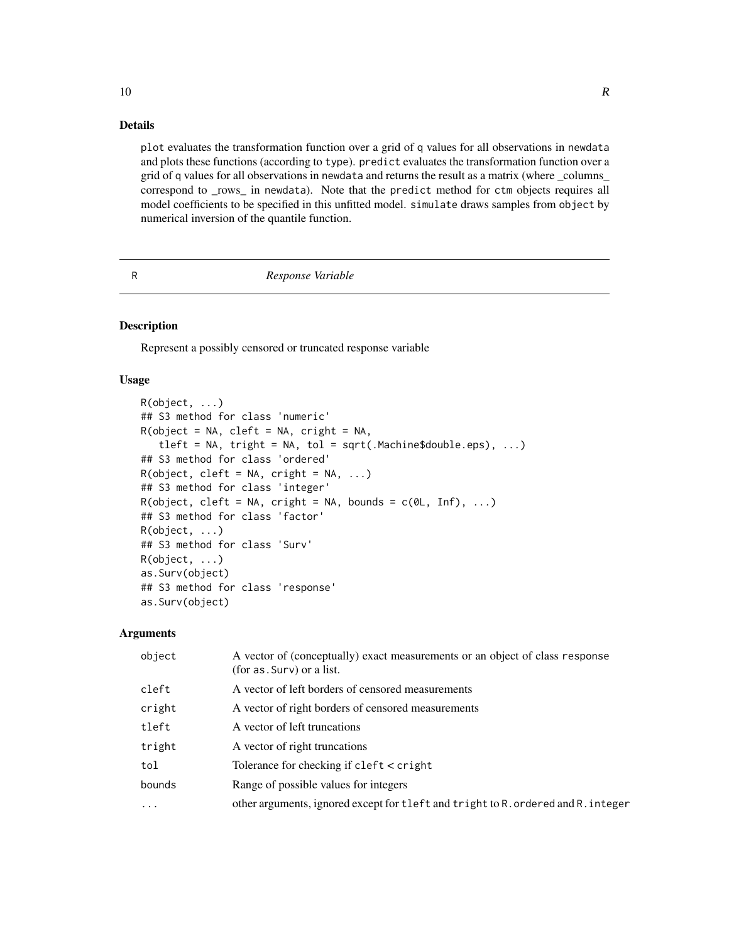#### Details

plot evaluates the transformation function over a grid of q values for all observations in newdata and plots these functions (according to type). predict evaluates the transformation function over a grid of q values for all observations in newdata and returns the result as a matrix (where \_columns\_ correspond to \_rows\_ in newdata). Note that the predict method for ctm objects requires all model coefficients to be specified in this unfitted model. simulate draws samples from object by numerical inversion of the quantile function.

#### R *Response Variable*

#### Description

Represent a possibly censored or truncated response variable

#### Usage

```
R(object, ...)
## S3 method for class 'numeric'
R(object = NA, cleft = NA, cright = NA,
   tleft = NA, tript = NA, tol = sqrt(.Machine$double.eps), ...)
## S3 method for class 'ordered'
R(object, cleft = NA, criight = NA, ...)## S3 method for class 'integer'
R(object, cleft = NA, criight = NA, bounds = c(0L, Inf), ...## S3 method for class 'factor'
R(object, ...)
## S3 method for class 'Surv'
R(object, ...)
as.Surv(object)
## S3 method for class 'response'
as.Surv(object)
```
#### Arguments

| object  | A vector of (conceptually) exact measurements or an object of class response<br>(for as . Surv) or a list. |
|---------|------------------------------------------------------------------------------------------------------------|
| cleft   | A vector of left borders of censored measurements                                                          |
| cright  | A vector of right borders of censored measurements                                                         |
| tleft   | A vector of left truncations                                                                               |
| tright  | A vector of right truncations                                                                              |
| tol     | Tolerance for checking if $cleft <$ cright                                                                 |
| bounds  | Range of possible values for integers                                                                      |
| $\cdot$ | other arguments, ignored except for tleft and tright to R. ordered and R. integer                          |
|         |                                                                                                            |

<span id="page-9-0"></span> $10$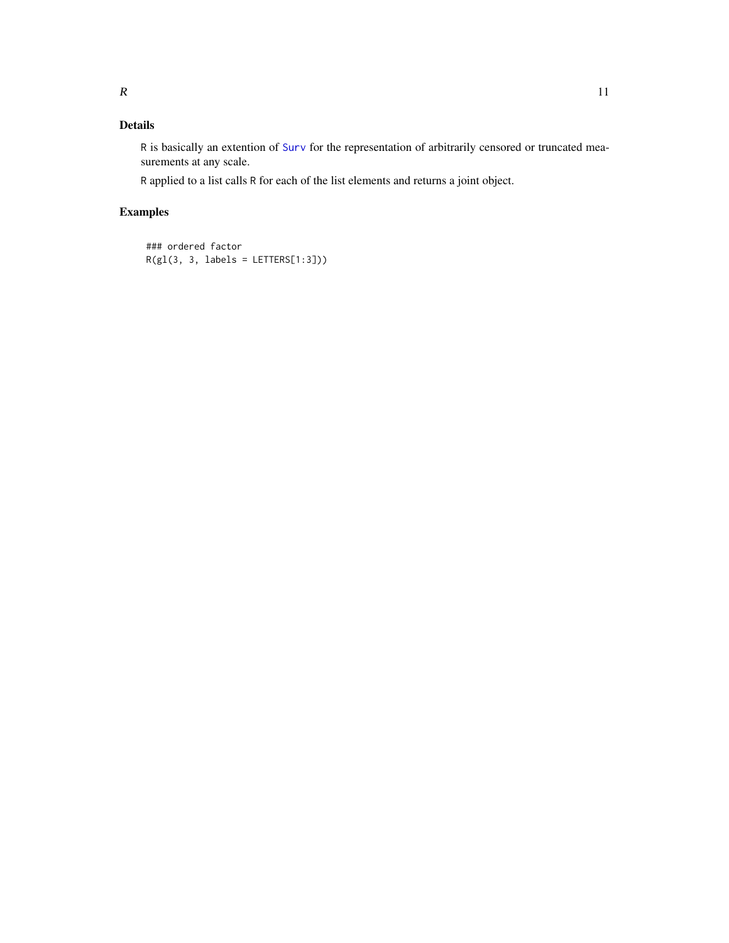## <span id="page-10-0"></span>Details

R is basically an extention of [Surv](#page-0-0) for the representation of arbitrarily censored or truncated measurements at any scale.

R applied to a list calls R for each of the list elements and returns a joint object.

## Examples

```
### ordered factor
R(g1(3, 3, labels = LETTERS[1:3]))
```